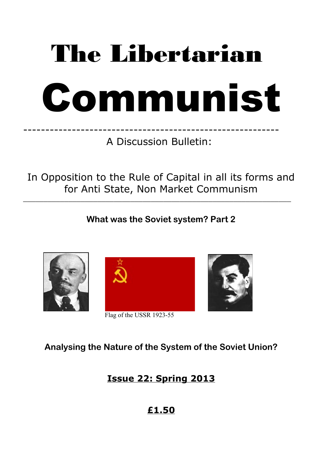# The Libertarian



---------------------------------------------------------- A Discussion Bulletin:

In Opposition to the Rule of Capital in all its forms and for Anti State, Non Market Communism

 $\_$  , and the set of the set of the set of the set of the set of the set of the set of the set of the set of the set of the set of the set of the set of the set of the set of the set of the set of the set of the set of th

**What was the Soviet system? Part 2**



**Analysing the Nature of the System of the Soviet Union?**

**Issue 22: Spring 2013**

**£1.50**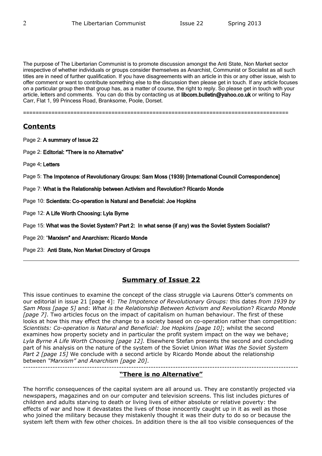The purpose of The Libertarian Communist is to promote discussion amongst the Anti State, Non Market sector irrespective of whether individuals or groups consider themselves as Anarchist, Communist or Socialist as all such titles are in need of further qualification. If you have disagreements with an article in this or any other issue, wish to offer comment or want to contribute something else to the discussion then please get in touch. If any article focuses on a particular group then that group has, as a matter of course, the right to reply. So please get in touch with your article, letters and comments. You can do this by contacting us at libcom.bulletin@yahoo.co.uk or writing to Ray Carr, Flat 1, 99 Princess Road, Branksome, Poole, Dorset.

====================================================================================

# **Contents**

- Page 2: A summary of Issue 22
- Page 2: Editorial: "There is no Alternative"
- Page 4: Letters

Page 5: The Impotence of Revolutionary Groups: Sam Moss (1939) [International Council Correspondence]

- Page 7: What is the Relationship between Activism and Revolution? Ricardo Monde
- Page 10: Scientists: Co-operation is Natural and Beneficial: Joe Hopkins
- Page 12: A Life Worth Choosing: Lyla Byrne
- Page 15: What was the Soviet System? Part 2: In what sense (if any) was the Soviet System Socialist?
- Page 20: "Marxism" and Anarchism: Ricardo Monde
- Page 23: Anti State, Non Market Directory of Groups

# **Summary of Issue 22**

This issue continues to examine the concept of the class struggle via Laurens Otter's comments on our editorial in issue 21 [page 4]: *The Impotence of Revolutionary Groups:* this dates *from 1939 by Sam Moss [page 5]* and: *What is the Relationship Between Activism and Revolution*? *Ricardo Monde [page 7]*. Two articles focus on the impact of capitalism on human behaviour. The first of these looks at how this may effect the change to a society based on co-operation rather than competition: *Scientists: Co-operation is Natural and Beneficial: Joe Hopkins [page 10]*; whilst the second examines how property society and in particular the profit system impact on the way we behave; *Lyla Byrne A Life Worth Choosing [page 12].* Elsewhere Stefan presents the second and concluding part of his analysis on the nature of the system of the Soviet Union *What Was the Soviet System Part 2 [page 15]* We conclude with a second article by Ricardo Monde about the relationship between *"Marxism" and Anarchism [page 20]*.

---------------------------------------------------------------------------------------------------------------- **"There is no Alternative"**

The horrific consequences of the capital system are all around us. They are constantly projected via newspapers, magazines and on our computer and television screens. This list includes pictures of children and adults starving to death or living lives of either absolute or relative poverty: the effects of war and how it devastates the lives of those innocently caught up in it as well as those who joined the military because they mistakenly thought it was their duty to do so or because the system left them with few other choices. In addition there is the all too visible consequences of the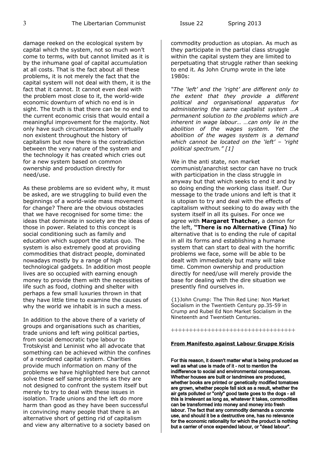damage reeked on the ecological system by capital which the system, not so much won't come to terms, with but cannot limited as it is by the inhumane goal of capital accumulation at all costs. That is the fact about all these problems, it is not merely the fact that the capital system will not deal with them, it is the fact that it cannot. It cannot even deal with the problem most close to it, the world-wide economic downturn of which no end is in sight. The truth is that there can be no end to the current economic crisis that would entail a meaningful improvement for the majority. Not only have such circumstances been virtually non existent throughout the history of capitalism but now there is the contradiction between the very nature of the system and the technology it has created which cries out for a new system based on common ownership and production directly for need/use.

As these problems are so evident why, it must be asked, are we struggling to build even the beginnings of a world-wide mass movement for change? There are the obvious obstacles that we have recognised for some time: the ideas that dominate in society are the ideas of those in power. Related to this concept is social conditioning such as family and education which support the status quo. The system is also extremely good at providing commodities that distract people, dominated nowadays mostly by a range of high technological gadgets. In addition most people lives are so occupied with earning enough money to provide them with the necessities of life such as food, clothing and shelter with perhaps a few small luxuries thrown in that they have little time to examine the causes of why the world we inhabit is in such a mess.

In addition to the above there of a variety of groups and organisations such as charities, trade unions and left wing political parties, from social democratic type labour to Trotskyist and Leninist who all advocate that something can be achieved within the confines of a reordered capital system. Charities provide much information on many of the problems we have highlighted here but cannot solve these self same problems as they are not designed to confront the system itself but merely to try to deal with these issues in isolation. Trade unions and the left do more harm than good as they have been successful in convincing many people that there is an alternative short of getting rid of capitalism and view any alternative to a society based on commodity production as utopian. As much as they participate in the partial class struggle within the capital system they are limited to perpetuating that struggle rather than seeking to end it. As John Crump wrote in the late 1980s:

*"The 'left' and the 'right' are different only to the extent that they provide a different political and organisational apparatus for administering the same capitalist system …A permanent solution to the problems which are inherent in wage labour… …can only lie in the abolition of the wages system. Yet the abolition of the wages system is a demand which cannot be located on the 'left' – 'right political spectrum." [1]* 

We in the anti state, non market communist/anarchist sector can have no truck with participation in the class struggle in anyway but that which seeks to end it and by so doing ending the working class itself. Our message to the trade unions and left is that it is utopian to try and deal with the effects of capitalism without seeking to do away with the system itself in all its guises. For once we agree with **Margaret Thatcher,** a demon for the left, **"There is no Alternative (Tina)** No alternative that is to ending the rule of capital in all its forms and establishing a humane system that can start to deal with the horrific problems we face, some will be able to be dealt with immediately but many will take time. Common ownership and production directly for need/use will merely provide the base for dealing with the dire situation we presently find ourselves in.

{1}John Crump: The Thin Red Line: Non Market Socialism in the Twentieth Century pp.35-59 in Crump and Rubel Ed Non Market Socialism in the Nineteenth and Twentieth Centuries.

++++++++++++++++++++++++++++++++++

#### **From Manifesto against Labour Gruppe Krisis**

For this reason, it doesn't matter what is being produced as well as what use is made of it - not to mention the indifference to social and environmental consequences. Whether houses are built or landmines are produced, whether books are printed or genetically modified tomatoes are grown, whether people fall sick as a result, whether the air gets polluted or "only" good taste goes to the dogs - all this is irrelevant as long as, whatever it takes, commodities can be transformed into money and money into fresh labour. The fact that any commodity demands a concrete use, and should it be a destructive one, has no relevance for the economic rationality for which the product is nothing but a carrier of once expended labour, or "dead labour".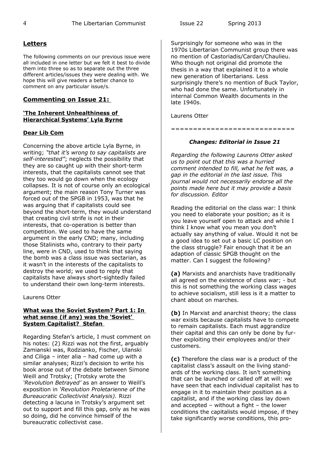#### **Letters**

The following comments on our previous issue were all included in one letter but we felt it best to divide them into three so as to separate out the three different articles/issues they were dealing with. We hope this will give readers a better chance to comment on any particular issue/s.

#### **Commenting on Issue 21:**

#### **'The Inherent Unhealthiness of Hierarchical Systems' Lyla Byrne**

#### **Dear Lib Com**

Concerning the above article Lyla Byrne, in writing; *"that it's wrong to say capitalists are self-interested"*; neglects the possibility that they are so caught up with their short-term interests, that the capitalists cannot see that they too would go down when the ecology collapses. It is not of course only an ecological argument; the main reason Tony Turner was forced out of the SPGB in 1953, was that he was arguing that if capitalists could see beyond the short-term, they would understand that creating civil strife is not in their interests, that co-operation is better than competition. We used to have the same argument in the early CND; many, including those Stalinists who, contrary to their party line, were in CND, used to think that saying the bomb was a class issue was sectarian, as it wasn't in the interests of the capitalists to destroy the world; we used to reply that capitalists have always short-sightedly failed to understand their own long-term interests.

Laurens Otter

#### **What was the Soviet System? Part 1: In what sense (if any) was the 'Soviet' System Capitalist? Stefan**

Regarding Stefan's article, I must comment on his notes: (2) Rizzi was not the first, arguably Zamianski was, Rodzianko, Fischer, Ulanski and Ciliga – inter alia – had come up with a similar analyses; Rizzi's decision to write his book arose out of the debate between Simone Weill and Trotsky; (Trotsky wrote the *'Revolution Betrayed'* as an answer to Weill's exposition in *'Revolution Proletarienne of the Bureaucratic Collectivist Analysis).* Rizzi detecting a lacuna in Trotsky's argument set out to support and fill this gap, only as he was so doing, did he convince himself of the bureaucratic collectivist case.

Surprisingly for someone who was in the 1970s Libertarian Communist group there was no mention of Castoriadis/Cardan/Chaulieu. Who though not original did promote the thesis in a way that explained it to a whole new generation of libertarians. Less surprisingly there's no mention of Buck Taylor, who had done the same. Unfortunately in internal Common Wealth documents in the late 1940s.

Laurens Otter

============================

#### *Changes: Editorial in Issue 21*

*Regarding the following Laurens Otter asked us to point out that this was a hurried comment intended to fill, what he felt was, a gap in the editorial in the last issue. This journal would not necessarily endorse all the points made here but it may provide a basis for discussion. Editor*

Reading the editorial on the class war: I think you need to elaborate your position; as it is you leave yourself open to attack and while I think I know what you mean you don't actually say anything of value. Would it not be a good idea to set out a basic LC position on the class struggle? Fair enough that it be an adaption of classic SPGB thought on the matter. Can I suggest the following?

**(a)** Marxists and anarchists have traditionally all agreed on the existence of class war; - but this is not something the working class wages to achieve socialism, still less is it a matter to chant about on marches.

**(b)** In Marxist and anarchist theory; the class war exists because capitalists have to compete to remain capitalists. Each must aggrandize their capital and this can only be done by further exploiting their employees and/or their customers.

**(c)** Therefore the class war is a product of the capitalist class's assault on the living standards of the working class. It isn't something that can be launched or called off at will: we have seen that each individual capitalist has to engage in it to maintain their position as a capitalist, and if the working class lay down and accepted – without a fight – the lower conditions the capitalists would impose, if they take significantly worse conditions, this pro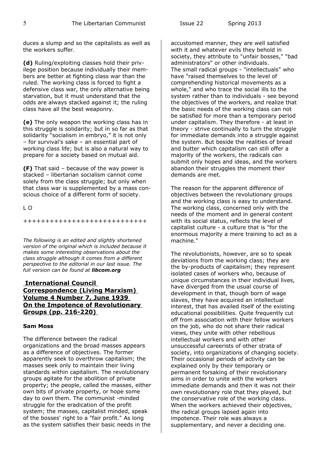duces a slump and so the capitalists as well as the workers suffer.

**(d)** Ruling/exploiting classes hold their privilege position because individually their members are better at fighting class war than the ruled. The working class is forced to fight a defensive class war, the only alternative being starvation, but it must understand that the odds are always stacked against it; the ruling class have all the best weaponry.

**(e)** The only weapon the working class has in this struggle is solidarity; but in so far as that solidarity "socialism in embryo," it is not only – for survival's sake – an essential part of working class life; but is also a natural way to prepare for a society based on mutual aid.

**(F)** That said – because of the way power is stacked – libertarian socialism cannot come solely from the class struggle; but only when that class war is supplemented by a mass conscious choice of a different form of society.

L O

++++++++++++++++++++++++++++

*The following is an edited and slightly shortened version of the original which is included because it makes some interesting observations about the class struggle although it comes from a different perspective to the editorial in our last issue. The full version can be found at libcom.org*

## **International Council Correspondence (Living Marxism) Volume 4 Number 7, June 1939 On the Impotence of Revolutionary Groups (pp. 216-220)**

#### **Sam Moss**

The difference between the radical organizations and the broad masses appears as a difference of objectives. The former apparently seek to overthrow capitalism; the masses seek only to maintain their living standards within capitalism. The revolutionary groups agitate for the abolition of private property; the people, called the masses, either own bits of private property, or hope some day to own them. The communist -minded struggle for the eradication of the profit system; the masses, capitalist minded, speak of the bosses' right to a "fair profit." As long as the system satisfies their basic needs in the accustomed manner, they are well satisfied with it and whatever evils they behold in society, they attribute to "unfair bosses," "bad administrators" or other individuals. The small radical groups - "intellectuals" who have "raised themselves to the level of comprehending historical movements as a whole," and who trace the social ills to the system rather than to individuals - see beyond the objectives of the workers, and realize that the basic needs of the working class can not be satisfied for more than a temporary period under capitalism. They therefore - at least in theory - strive continually to turn the struggle for immediate demands into a struggle against the system. But beside the realities of bread and butter which capitalism can still offer a majority of the workers, the radicals can submit only hopes and ideas, and the workers abandon their struggles the moment their demands are met.

The reason for the apparent difference of objectives between the revolutionary groups and the working class is easy to understand. The working class, concerned only with the needs of the moment and in general content with its social status, reflects the level of capitalist culture - a culture that is "for the enormous majority a mere training to act as a machine."

The revolutionists, however, are so to speak deviations from the working class; they are the by-products of capitalism; they represent isolated cases of workers who, because of unique circumstances in their individual lives, have diverged from the usual course of development in that, though born of wage slaves, they have acquired an intellectual interest, that has availed itself of the existing educational possibilities. Quite frequently cut off from association with their fellow workers on the job, who do not share their radical views, they unite with other rebellious intellectual workers and with other unsuccessful careerists of other strata of society, into organizations of changing society. Their occasional periods of activity can be explained only by their temporary or permanent forsaking of their revolutionary aims in order to unite with the workers immediate demands and then it was not their own revolutionary role that they played, but the conservative role of the working class. When the workers achieved their objectives, the radical groups lapsed again into impotence. Their role was always a supplementary, and never a deciding one.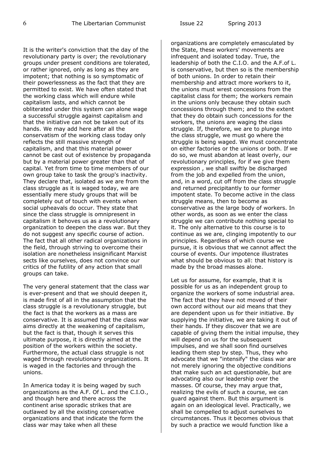It is the writer's conviction that the day of the revolutionary party is over; the revolutionary groups under present conditions are tolerated, or rather ignored, only as long as they are impotent; that nothing is so symptomatic of their powerlessness as the fact that they are permitted to exist. We have often stated that the working class which will endure while capitalism lasts, and which cannot be obliterated under this system can alone wage a successful struggle against capitalism and that the initiative can not be taken out of its hands. We may add here after all the conservatism of the working class today only reflects the still massive strength of capitalism, and that this material power cannot be cast out of existence by propaganda but by a material power greater than that of capital. Yet from time to time members of our own group take to task the group's inactivity. They declare that, isolated as we are from the class struggle as it is waged today, we are essentially mere study groups that will be completely out of touch with events when social upheavals do occur. They state that since the class struggle is omnipresent in capitalism it behoves us as a revolutionary organization to deepen the class war. But they do not suggest any specific course of action. The fact that all other radical organizations in the field, through striving to overcome their isolation are nonetheless insignificant Marxist sects like ourselves, does not convince our critics of the futility of any action that small groups can take.

The very general statement that the class war is ever-present and that we should deepen it, is made first of all in the assumption that the class struggle is a revolutionary struggle, but the fact is that the workers as a mass are conservative. It is assumed that the class war aims directly at the weakening of capitalism, but the fact is that, though it serves this ultimate purpose, it is directly aimed at the position of the workers within the society. Furthermore, the actual class struggle is not waged through revolutionary organizations. It is waged in the factories and through the unions.

In America today it is being waged by such organizations as the A.F. Of L. and the C.I.O., and though here and there across the continent arise sporadic strikes that are outlawed by all the existing conservative organizations and that indicate the form the class war may take when all these

organizations are completely emasculated by the State, these workers' movements are infrequent and isolated today. True, the leadership of both the C.I.O. and the A.F.of L. is conservative, but then so is the membership of both unions. In order to retain their membership and attract more workers to it, the unions must wrest concessions from the capitalist class for them; the workers remain in the unions only because they obtain such concessions through them; and to the extent that they do obtain such concessions for the workers, the unions are waging the class struggle. If, therefore, we are to plunge into the class struggle, we must go where the struggle is being waged. We must concentrate on either factories or the unions or both. If we do so, we must abandon at least overly, our revolutionary principles, for if we give them expression , we shall swiftly be discharged from the job and expelled from the union, and, in a word, cut off from the class struggle and returned precipitantly to our former impotent state. To become active in the class struggle means, then to become as conservative as the large body of workers. In other words, as soon as we enter the class struggle we can contribute nothing special to it. The only alternative to this course is to continue as we are, clinging impotently to our principles. Regardless of which course we pursue, it is obvious that we cannot affect the course of events. Our impotence illustrates what should be obvious to all: that history is made by the broad masses alone.

Let us for assume, for example, that it is possible for us as an independent group to organize the workers of some industrial area. The fact that they have not moved of their own accord without our aid means that they are dependent upon us for their initiative. By supplying the initiative, we are taking it out of their hands. If they discover that we are capable of giving them the initial impulse, they will depend on us for the subsequent impulses, and we shall soon find ourselves leading them step by step. Thus, they who advocate that we "intensify" the class war are not merely ignoring the objective conditions that make such an act questionable, but are advocating also our leadership over the masses. Of course, they may argue that, realizing the evils of such a course, we can guard against them. But this argument is again on an ideological level. Practically, we shall be compelled to adjust ourselves to circumstances. Thus it becomes obvious that by such a practice we would function like a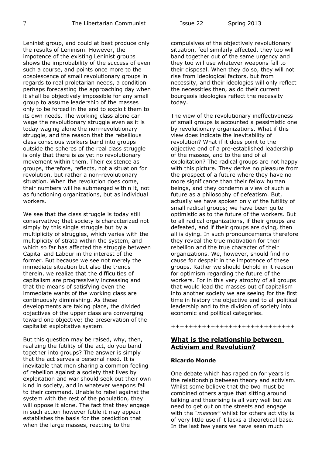Leninist group, and could at best produce only the results of Leninism. However, the impotence of the existing Leninist groups shows the improbability of the success of even such a course, and points once more to the obsolescence of small revolutionary groups in regards to real proletarian needs, a condition perhaps forecasting the approaching day when it shall be objectively impossible for any small group to assume leadership of the masses only to be forced in the end to exploit them to its own needs. The working class alone can wage the revolutionary struggle even as it is today waging alone the non-revolutionary struggle, and the reason that the rebellious class conscious workers band into groups outside the spheres of the real class struggle is only that there is as yet no revolutionary movement within them. Their existence as groups, therefore, reflects, not a situation for revolution, but rather a non-revolutionary situation. When the revolution does come, their numbers will he submerged within it, not as functioning organizations, but as individual workers.

We see that the class struggle is today still conservative; that society is characterized not simply by this single struggle but by a multiplicity of struggles, which varies with the multiplicity of strata within the system, and which so far has affected the struggle between Capital and Labour in the interest of the former. But because we see not merely the immediate situation but also the trends therein, we realize that the difficulties of capitalism are progressively increasing and that the means of satisfying even the immediate wants of the working class are continuously diminishing. As these developments are taking place, the divided objectives of the upper class are converging toward one objective; the preservation of the capitalist exploitative system.

But this question may be raised, why, then, realizing the futility of the act, do you band together into groups? The answer is simply that the act serves a personal need. It is inevitable that men sharing a common feeling of rebellion against a society that lives by exploitation and war should seek out their own kind in society, and in whatever weapons fall to their command. Unable to rebel against the system with the rest of the population, they will oppose it alone. The fact that they engage in such action however futile it may appear establishes the basis for the prediction that when the large masses, reacting to the

compulsives of the objectively revolutionary situation, feel similarly affected, they too will band together out of the same urgency and they too will use whatever weapons fall to their disposal. When they do so, they will not rise from ideological factors, but from necessity, and their ideologies will only reflect the necessities then, as do their current bourgeois ideologies reflect the necessity today.

The view of the revolutionary ineffectiveness of small groups is accounted a pessimistic one by revolutionary organizations. What if this view does indicate the inevitability of revolution? What if it does point to the objective end of a pre-established leadership of the masses, and to the end of all exploitation? The radical groups are not happy with this picture. They derive no pleasure from the prospect of a future where they have no more significance than their fellow human beings, and they condemn a view of such a future as a philosophy of defeatism. But, actually we have spoken only of the futility of small radical groups; we have been quite optimistic as to the future of the workers. But to all radical organizations, if their groups are defeated, and if their groups are dying, then all is dying. In such pronouncements therefore they reveal the true motivation for their rebellion and the true character of their organizations. We, however, should find no cause for despair in the impotence of these groups. Rather we should behold in it reason for optimism regarding the future of the workers. For in this very atrophy of all groups that would lead the masses out of capitalism into another society we are seeing for the first time in history the objective end to all political leadership and to the division of society into economic and political categories.

++++++++++++++++++++++++++++

# **What is the relationship between Activism and Revolution?**

## **Ricardo Monde**

One debate which has raged on for years is the relationship between theory and activism. Whilst some believe that the two must be combined others argue that sitting around talking and theorising is all very well but we need to get out on the streets and engage with the *"masses"* whilst for others activity is of very little use if it lacks a theoretical base. In the last few years we have seen much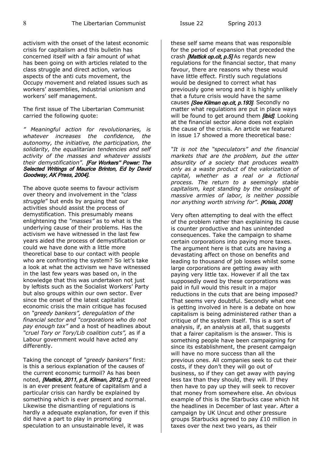activism with the onset of the latest economic crisis for capitalism and this bulletin has concerned itself with a fair amount of what has been going on with articles related to the class struggle and direct action, various aspects of the anti cuts movement, the Occupy movement and related issues such as workers' assemblies, industrial unionism and workers' self management.

The first issue of The Libertarian Communist carried the following quote:

*" Meaningful action for revolutionaries, is whatever increases the confidence, the autonomy, the initiative, the participation, the solidarity, the equalitarian tendencies and self activity of the masses and whatever assists their demystification".* [For Workers'' Power: The Selected Writings of Maurice Brinton, Ed by David Goodway, AK Press, 2004].

The above quote seems to favour activism over theory and involvement in the *"class struggle*" but ends by arguing that our activities should assist the process of demystification. This presumably means enlightening the *"masses"* as to what is the underlying cause of their problems. Has the activism we have witnessed in the last few years aided the process of demystification or could we have done with a little more theoretical base to our contact with people who are confronting the system? So let's take a look at what the activism we have witnessed in the last few years was based on, in the knowledge that this was undertaken not just by leftists such as the Socialist Workers' Party but also groups within our own sector. Ever since the onset of the latest capitalist economic crisis the main critique has focused on *"greedy bankers", deregulation of the financial sector and "corporations who do not pay enough tax"* and a host of headlines about *"cruel Tory or Tory/Lib coalition cuts",* as if a Labour government would have acted any differently.

Taking the concept of *"greedy bankers"* first: is this a serious explanation of the causes of the current economic turmoil? As has been noted, [Mattick, 2011, p.8, Kilman, 2012, p.1] greed is an ever present feature of capitalism and a particular crisis can hardly be explained by something which is ever present and normal. Likewise the dismantling of regulations is hardly a adequate explanation, for even if this did have a part to play in promoting speculation to an unsustainable level, it was

these self same means that was responsible for the period of expansion that preceded the crash *[Mattick op.cit, p.5]* As regards new regulations for the financial sector, that many favour, there are reasons why these would have little effect. Firstly such regulations would be designed to correct what has previously gone wrong and it is highly unlikely that a future crisis would have the same causes [See Kilman op.cit, p.193]. Secondly no matter what regulations are put in place ways will be found to get around them *[ibid]*. Looking at the financial sector alone does not explain the cause of the crisis. An article we featured in issue 17 showed a more theoretical base*:* 

*"It is not the "speculators" and the financial markets that are the problem, but the utter absurdity of a society that produces wealth only as a waste product of the valorization of capital, whether as a real or a fictional process. The return to a seemingly stable capitalism, kept standing by the onslaught of massive armies of labor, is neither possible nor anything worth striving for".* [Krisis, 2008]

Very often attempting to deal with the effect of the problem rather than explaining its cause is counter productive and has unintended consequences. Take the campaign to shame certain corporations into paying more taxes. The argument here is that cuts are having a devastating affect on those on benefits and leading to thousand of job losses whilst some large corporations are getting away with paying very little tax. However if all the tax supposedly owed by these corporations was paid in full would this result in a major reductions in the cuts that are being imposed? That seems very doubtful. Secondly what one is getting involved in here is a debate on how capitalism is being administered rather than a critique of the system itself. This is a sort of analysis, if, an analysis at all, that suggests that a fairer capitalism is the answer. This is something people have been campaigning for since its establishment, the present campaign will have no more success than all the previous ones. All companies seek to cut their costs, if they don't they will go out of business, so if they can get away with paying less tax than they should, they will. If they then have to pay up they will seek to recover that money from somewhere else. An obvious example of this is the Starbucks case which hit the headlines in December of last year. After a campaign by UK Uncut and other pressure groups Starbucks agreed to pay £10 million in taxes over the next two years, as their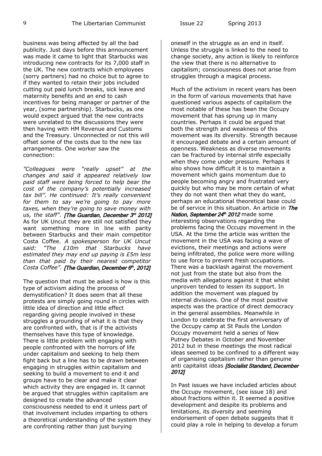business was being affected by all the bad publicity. Just days before this announcement was made it came to light that Starbucks was introducing new contracts for its 7,000 staff in the UK. The new contracts which employees (sorry partners) had no choice but to agree to if they wanted to retain their jobs included cutting out paid lunch breaks, sick leave and maternity benefits and an end to cash incentives for being manager or partner of the year, (some partnership). Starbucks, as one would expect argued that the new contracts were unrelated to the discussions they were then having with HM Revenue and Customs and the Treasury. Unconnected or not this will offset some of the costs due to the new tax arrangements. One worker saw the connection:

*"Colleagues were "really upset" at the changes and said it appeared relatively low paid staff were being forced to help bear the cost of the company's potentially increased tax bill". He continued: It's really convenient for them to say we're going to pay more taxes, when they're going to save money with* us, the staff". **[The Guardian, December 3<sup>rd</sup> 2012]** As for UK Uncut they are still not satisfied they want something more in line with parity between Starbucks and their main competitor Costa Coffee. *A spokesperson for UK Uncut said: "The £10m that Starbucks have estimated they may end up paying is £5m less than that paid by their nearest competitor* Costa Coffee". [The Guardian, December 6th, 2012]

The question that must be asked is how is this type of activism aiding the process of demystification? It does seem that all these protests are simply going round in circles with little idea of direction and little effect regarding giving people involved in these struggles a grounding of what it is that they are confronted with, that is if the activists themselves have this type of knowledge. There is little problem with engaging with people confronted with the horrors of life under capitalism and seeking to help them fight back but a line has to be drawn between engaging in struggles within capitalism and seeking to build a movement to end it and groups have to be clear and make it clear which activity they are engaged in. It cannot be argued that struggles within capitalism are designed to create the advanced consciousness needed to end it unless part of that involvement includes imparting to others a theoretical understanding of the system they are confronting rather than just burying

oneself in the struggle as an end in itself. Unless the struggle is linked to the need to change society, any action is likely to reinforce the view that there is no alternative to capitalism; consciousness does not arise from struggles through a magical process.

Much of the activism in recent years has been in the form of various movements that have questioned various aspects of capitalism the most notable of these has been the Occupy movement that has sprung up in many countries. Perhaps it could be argued that both the strength and weakness of this movement was its diversity. Strength because it encouraged debate and a certain amount of openness. Weakness as diverse movements can be fractured by internal strife especially when they come under pressure. Perhaps it also shows how difficult it is to maintain a movement which gains momentum due to people becoming angry and frustrated very quickly but who may be more certain of what they do not want then what they do want, perhaps an educational theoretical base could be of service in this situation. An article in The Nation, September 24th 2012 made some interesting observations regarding the problems facing the Occupy movement in the USA. At the time the article was written the movement in the USA was facing a wave of evictions, their meetings and actions were being infiltrated, the police were more willing to use force to prevent fresh occupations. There was a backlash against the movement not just from the state but also from the media with allegations against it that whilst unproven tended to lessen its support. In addition the movement was plagued by internal divisions. One of the most positive aspects was the practice of direct democracy in the general assemblies. Meanwhile in London to celebrate the first anniversary of the Occupy camp at St Pauls the London Occupy movement held a series of New Putney Debates in October and November 2012 but in these meetings the most radical ideas seemed to be confined to a different way of organising capitalism rather than genuine anti capitalist ideas [Socialist Standard, December 2012]

In Past issues we have included articles about the Occupy movement, (see issue 18) and about fractions within it. It seemed a positive development and despite its problems and limitations, its diversity and seeming endorsement of open debate suggests that it could play a role in helping to develop a forum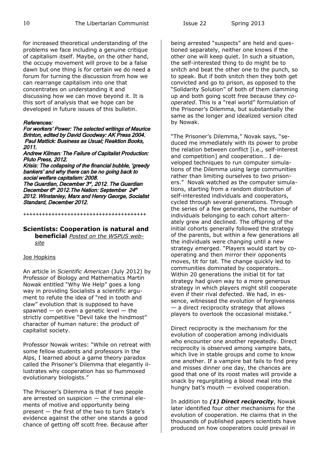for increased theoretical understanding of the problems we face including a genuine critique of capitalism itself. Maybe, on the other hand, the occupy movement will prove to be a false dawn but one thing is for certain we do need a forum for turning the discussion from how we can rearrange capitalism into one that concentrates on understanding it and discussing how we can move beyond it. It is this sort of analysis that we hope can be developed in future issues of this bulletin.

#### References:

For workers' Power: The selected writings of Maurice Brinton, edited by David Goodway: AK Press 2004. Paul Mattick: Business as Usual; Reaktion Books, 2011.

Andrew Kilman: The Failure of Capitalist Production: Pluto Press, 2012.

Krisis: The collapsing of the financial bubble, 'greedy bankers' and why there can be no going back to social welfare capitalism: 2008. The Guardian, December  $3<sup>d</sup>$ , 2012. The Guardian December 6th 2012.The Nation: September 24th 2012. Winstanley, Marx and Henry George, Socialist Standard, December 2012.

**Scientists: Cooperation is natural and beneficial** *Posted on the WSPUS web-*

+++++++++++++++++++++++++++++++++++++++

#### *site*

#### Joe Hopkins

An article in *Scientific American* (July 2012) by Professor of Biology and Mathematics Martin Nowak entitled "Why We Help" goes a long way in providing Socialists a scientific argument to refute the idea of "red in tooth and claw" evolution that is supposed to have spawned  $-$  on even a genetic level  $-$  the strictly competitive "Devil take the hindmost" character of human nature: the product of capitalist society.

Professor Nowak writes: "While on retreat with some fellow students and professors in the Alps, I learned about a game theory paradox called the Prisoner's Dilemma that elegantly illustrates why cooperation has so flummoxed evolutionary biologists."

The Prisoner's Dilemma is that if two people are arrested on suspicion — the criminal elements of motive and opportunity being present — the first of the two to turn State's evidence against the other one stands a good chance of getting off scott free. Because after being arrested "suspects" are held and questioned separately, neither one knows if the other one will keep quiet. In such a situation, the self-interested thing to do might be to snitch and beat the other one to the punch, so to speak. But if both snitch then they both get convicted and go to prison, as opposed to the "Solidarity Solution" of both of them clamming up and both going scott free because they *cooperated*. This is a "real world" formulation of the Prisoner's Dilemma, but substantially the same as the longer and idealized version cited by Nowak.

"The Prisoner's Dilemma," Novak says, "seduced me immediately with its power to probe the relation between conflict [i.e., self-interest and competition] and cooperation… I developed techniques to run computer simulations of the Dilemma using large communities rather than limiting ourselves to two prisoners." Novak watched as the computer simulations, starting from a random distribution of self-interested individuals and cooperators, cycled through several generations. Through the series of a few generations, the number of individuals belonging to each cohort alternately grew and declined. The offspring of the initial cohorts generally followed the strategy of the parents, but within a few generations all the individuals were changing until a new strategy emerged. "Players would start by cooperating and then mirror their opponents moves, tit for tat. The change quickly led to communities dominated by cooperators… Within 20 generations the initial tit for tat strategy had given way to a more generous strategy in which players might still cooperate even if their rival defected. We had, in essence, witnessed the evolution of forgiveness — a direct reciprocity strategy that allows players to overlook the occasional mistake."

Direct reciprocity is the mechanism for the evolution of cooperation among individuals who encounter one another repeatedly. Direct reciprocity is observed among vampire bats, which live in stable groups and come to know one another. If a vampire bat fails to find prey and misses dinner one day, the chances are good that one of its roost mates will provide a snack by regurgitating a blood meal into the hungry bat's mouth — evolved cooperation.

In addition to *(1) Direct reciprocity*, Nowak later identified four other mechanisms for the evolution of cooperation. He claims that in the thousands of published papers scientists have produced on how cooperators could prevail in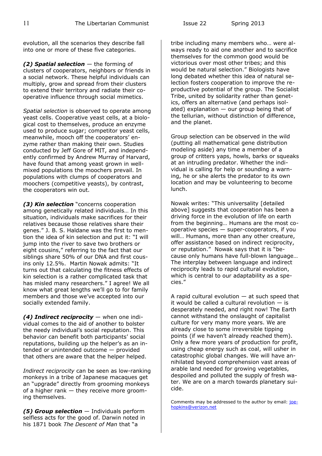evolution, all the scenarios they describe fall into one or more of these five categories.

*(2) Spatial selection* — the forming of clusters of cooperators, neighbors or friends in a social network. These helpful individuals can multiply, grow and spread from their clusters to extend their territory and radiate their cooperative influence through social mimetics.

*Spatial selection* is observed to operate among yeast cells. Cooperative yeast cells, at a biological cost to themselves, produce an enzyme used to produce sugar; competitor yeast cells, meanwhile, mooch off the cooperators' enzyme rather than making their own. Studies conducted by Jeff Gore of MIT, and independently confirmed by Andrew Murray of Harvard, have found that among yeast grown in wellmixed populations the moochers prevail. In populations with clumps of cooperators and moochers (competitive yeasts), by contrast, the cooperators win out.

*(3) Kin selection* "concerns cooperation among genetically related individuals… In this situation, individuals make sacrifices for their relatives because those relatives share their genes." J. B. S. Haldane was the first to mention the idea of kin selection and put it: "I will jump into the river to save two brothers or eight cousins," referring to the fact that our siblings share 50% of our DNA and first cousins only 12.5%. Martin Nowak admits: "It turns out that calculating the fitness effects of kin selection is a rather complicated task that has misled many researchers." I agree! We all know what great lengths we'll go to for family members and those we've accepted into our socially extended family.

*(4) Indirect reciprocity* — when one individual comes to the aid of another to bolster the needy individual's social reputation. This behavior can benefit both participants' social reputations, building up the helper's as an intended or unintended outcome — provided that others are aware that the helper helped.

*Indirect reciprocity* can be seen as low-ranking monkeys in a tribe of Japanese macaques get an "upgrade" directly from grooming monkeys of a higher rank — they receive more grooming themselves.

*(5) Group selection* — Individuals perform selfless acts for the good of. Darwin noted in his 1871 book *The Descent of Man* that "a

tribe including many members who… were always ready to aid one another and to sacrifice themselves for the common good would be victorious over most other tribes; and this would be natural selection." Biologists have long debated whether this idea of natural selection fosters cooperation to improve the reproductive potential of the group. The Socialist Tribe, united by solidarity rather than genetics, offers an alternative (and perhaps isolated) explanation  $-$  our group being that of the tellurian, without distinction of difference, and the planet.

Group selection can be observed in the wild (putting all mathematical gene distribution modeling aside) any time a member of a group of critters yaps, howls, barks or squeaks at an intruding predator. Whether the individual is calling for help or sounding a warning, he or she alerts the predator to its own location and may be volunteering to become lunch.

Nowak writes: "This universality [detailed above] suggests that cooperation has been a driving force in the evolution of life on earth from the beginning… Humans are the most cooperative species — super-cooperators, if you will… Humans, more than any other creature, offer assistance based on indirect reciprocity, or reputation." Nowak says that it is "because only humans have full-blown language… The interplay between language and indirect reciprocity leads to rapid cultural evolution, which is central to our adaptability as a species."

A rapid cultural evolution  $-$  at such speed that it would be called a cultural revolution  $-$  is desperately needed, and right now! The Earth cannot withstand the onslaught of capitalist culture for very many more years. We are already close to some irreversible tipping points (if we haven't already reached them). Only a few more years of production for profit, using cheap energy such as coal, will usher in catastrophic global changes. We will have annihilated beyond comprehension vast areas of arable land needed for growing vegetables, despoiled and polluted the supply of fresh water. We are on a march towards planetary suicide.

Comments may be addressed to the author by email: [joe](mailto:joehopkins@verizon.net)[hopkins@verizon.net](mailto:joehopkins@verizon.net)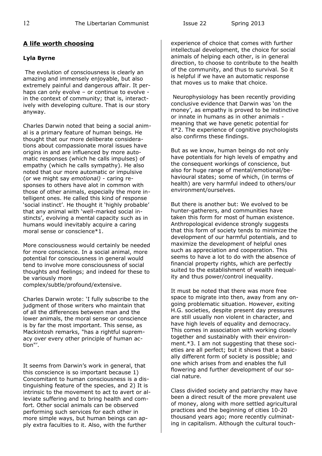# **A life worth choosing**

## **Lyla Byrne**

The evolution of consciousness is clearly an amazing and immensely enjoyable, but also extremely painful and dangerous affair. It perhaps can only evolve - or continue to evolve in the context of community; that is, interactively with developing culture. That is our story anyway.

Charles Darwin noted that being a social animal is a primary feature of human beings. He thought that our more deliberate considerations about compassionate moral issues have origins in and are influenced by more automatic responses (which he calls impulses) of empathy (which he calls sympathy). He also noted that our more automatic or impulsive (or we might say *emotional)* - caring responses to others have alot in common with those of other animals, especially the more intelligent ones. He called this kind of response 'social instinct'. He thought it 'highly probable' that any animal with 'well-marked social instincts', evolving a mental capacity such as in humans would inevitably acquire a caring moral sense or conscience\*1.

More consciousness would certainly be needed for more conscience. In a social animal, more potential for consciousness in general would tend to involve more consciousness of social thoughts and feelings; and indeed for these to be variously more complex/subtle/profound/extensive.

Charles Darwin wrote: 'I fully subscribe to the judgment of those writers who maintain that of all the differences between man and the lower animals, the moral sense or conscience is by far the most important. This sense, as Mackintosh remarks, "has a rightful supremacy over every other principle of human action"'.

It seems from Darwin's work in general, that this conscience is so important because 1) Concomitant to human consciousness is a distinguishing feature of the species, and 2) It is intrinsic to the movement to act to avert or alleviate suffering and to bring health and comfort. Other social animals can be observed performing such services for each other in more simple ways, but human beings can apply extra faculties to it. Also, with the further

experience of choice that comes with further intellectual development, the choice for social animals of helping each other, is in general direction, to choose to contribute to the health of the community, and thus to survival. So it is helpful if we have an automatic response that moves us to make that choice.

Neurophysiology has been recently providing conclusive evidence that Darwin was 'on the money', as empathy is proved to be instinctive or innate in humans as in other animals meaning that we have genetic potential for it\*2. The experience of cognitive psychologists also confirms these findings.

But as we know, human beings do not only have potentials for high levels of empathy and the consequent workings of conscience, but also for huge range of mental/emotional/behavioural states; some of which, (in terms of health) are very harmful indeed to others/our environment/ourselves.

But there is another but: We evolved to be hunter-gatherers, and communities have taken this form for most of human existence. Anthropological evidence strongly suggests that this form of society tends to minimize the development of our harmful potentials, and to maximize the development of helpful ones such as appreciation and cooperation. This seems to have a lot to do with the absence of financial property rights, which are perfectly suited to the establishment of wealth inequality and thus power/control inequality.

It must be noted that there was more free space to migrate into then, away from any ongoing problematic situation. However, exiting H.G. societies, despite present day pressures are still usually non violent in character, and have high levels of equality and democracy. This comes in association with working closely together and sustainably with their environment.\*3. I am not suggesting that these societies are all perfect; but it shows that a basically different form of society is possible; and one which arises from and enables the full flowering and further development of our social nature.

Class divided society and patriarchy may have been a direct result of the more prevalent use of money, along with more settled agricultural practices and the beginning of cities 10-20 thousand years ago; more recently culminating in capitalism. Although the cultural touch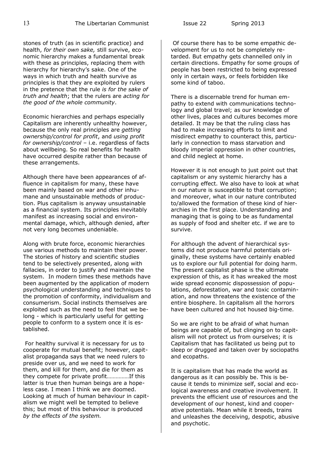stones of truth (as in scientific practice) and health, *for their own sake,* still survive, economic hierarchy makes a fundamental break with these as principles, replacing them with hierarchy for hierarchy's sake. One of the ways in which truth and health survive as principles is that they are exploited by rulers in the pretence that the rule *is for the sake of truth and health*; that the rulers are *acting for the good of the whole community*.

Economic hierarchies and perhaps especially Capitalism are inherently unhealthy however, because the only real principles are *getting ownership/control for profit*, and *using profit for ownership/control* – i.e. regardless of facts about wellbeing. So real benefits for health have occurred despite rather than because of these arrangements.

Although there have been appearances of affluence in capitalism for many, these have been mainly based on war and other inhumane and unsustainable methods of production. Plus capitalism is anyway unsustainable as a financial system. Its principles inevitably manifest as increasing social and environmental damage, which, although denied, after not very long becomes undeniable.

Along with brute force, economic hierarchies use various methods to maintain their power. The stories of history and scientific studies tend to be selectively presented, along with fallacies, in order to justify and maintain the system. In modern times these methods have been augmented by the application of modern psychological understanding and techniques to the promotion of conformity, individualism and consumerism. Social instincts themselves are exploited such as the need to feel that we belong - which is particularly useful for getting people to conform to a system once it is established.

For healthy survival it is necessary for us to cooperate for mutual benefit; however, capitalist propaganda says that we need rulers to preside over us, and we need to work for them, and kill for them, and die for them as they compete for private profit……………If this latter is true then human beings are a hopeless case. I mean I think we are doomed. Looking at much of human behaviour in capitalism we might well be tempted to believe this; but most of this behaviour is produced *by the effects of the system.*

Of course there has to be some empathic development for us to not be completely retarded. But empathy gets channelled only in certain directions. Empathy for some groups of people has been restricted to being expressed only in certain ways, or feels forbidden like some kind of taboo.

There is a discernable trend for human empathy to extend with communications technology and global travel; as our knowledge of other lives, places and cultures becomes more detailed. It may be that the ruling class has had to make increasing efforts to limit and misdirect empathy to counteract this, particularly in connection to mass starvation and bloody imperial oppression in other countries, and child neglect at home.

However it is not enough to just point out that capitalism or any systemic hierarchy has a corrupting effect. We also have to look at what in our nature is susceptible to that corruption; and moreover, what in our nature contributed to/allowed the formation of these kind of hierarchies in the first place. Understanding and managing that is going to be as fundamental as supply of food and shelter etc. if we are to survive.

For although the advent of hierarchical systems did not produce harmful potentials originally, these systems have certainly enabled us to explore our full potential for doing harm. The present capitalist phase is the ultimate expression of this, as it has wreaked the most wide spread economic dispossession of populations, deforestation, war and toxic contamination, and now threatens the existence of the entire biosphere. In capitalism all the horrors have been cultured and hot housed big-time.

So we are right to be afraid of what human beings are capable of, but clinging on to capitalism will not protect us from ourselves; it is Capitalism that has facilitated us being put to sleep or drugged and taken over by sociopaths and ecopaths.

It is capitalism that has made the world as dangerous as it can possibly be. This is because it tends to minimize self, social and ecological awareness and creative involvement. It prevents the efficient use of resources and the development of our honest, kind and cooperative potentials. Mean while it breeds, trains and unleashes the deceiving, despotic, abusive and psychotic.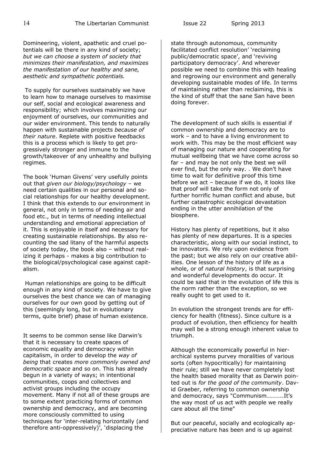Domineering, violent, apathetic and cruel potentials will be there in any kind of society; *but we can choose a system of society that minimizes their manifestation, and maximizes the manifestation of our healthy and sane, aesthetic and sympathetic potentials.*

To supply for ourselves sustainably we have to learn how to manage ourselves to maximise our self, social and ecological awareness and responsibility; which involves maximizing our enjoyment of ourselves, our communities and our wider environment. This tends to naturally happen with sustainable projects *because of their nature*. Replete with positive feedbacks this is a process which is likely to get progressively stronger and immune to the growth/takeover of any unhealthy and bullying regimes.

The book 'Human Givens' very usefully points out that *given our biology/psychology* – we need certain qualities in our personal and social relationships for our healthy development. I think that this extends to our environment in general, not only in terms of needing air and food etc., but in terms of needing intellectual understanding and emotional appreciation of it. This is enjoyable in itself and necessary for creating sustainable relationships. By also recounting the sad litany of the harmful aspects of society today, the book also – without realizing it perhaps - makes a big contribution to the biological/psychological case against capitalism.

Human relationships are going to be difficult enough in any kind of society. We have to give ourselves the best chance we can of managing ourselves for our own good by getting out of this (seemingly long, but in evolutionary terms, quite brief) phase of human existence.

It seems to be common sense like Darwin's that it is necessary to create spaces of economic equality and democracy within capitalism, in order to develop the *way of being* that creates *more commonly owned and democratic space* and so on. This has already begun in a variety of ways; in intentional communities, coops and collectives and activist groups including the occupy movement. Many if not all of these groups are to some extent practicing forms of common ownership and democracy, and are becoming more consciously committed to using techniques for 'inter-relating horizontally (and therefore anti-oppressively)', 'displacing the

state through autonomous, community facilitated conflict resolution' 'reclaiming public/democratic space', and 'reviving participatory democracy'. And wherever possible we need to combine this with healing and regrowing our environment and generally developing sustainable modes of life. In terms of maintaining rather than reclaiming, this is the kind of stuff that the sane San have been doing forever.

The development of such skills is essential if common ownership and democracy are to work – and to have a living environment to work with. This may be the most efficient way of managing our nature and cooperating for mutual wellbeing that we have come across so far – and may be not only the best we will ever find, but the only way. . We don't have time to wait for definitive proof this time before we act – because if we do, it looks like that proof will take the form not only of further horrific human conflict and abuse, but further catastrophic ecological devastation ending in the utter annihilation of the biosphere.

History has plenty of repetitions, but it also has plenty of new departures. It is a species characteristic, along with our social instinct, to be innovators. We rely upon evidence from the past; but we also rely on our creative abilities. One lesson of the history of life as a whole, or of *natural history*, is that surprising and wonderful developments do occur. It could be said that in the evolution of life this is the norm rather than the exception, so we really ought to get used to it.

In evolution the strongest trends are for efficiency for health (fitness). Since culture is a product of evolution, then efficiency for health may well be a strong enough inherent value to triumph.

Although the economically powerful in hierarchical systems purvey moralities of various sorts (often hypocritically) for maintaining their rule; still we have never completely lost the health based morality that as Darwin pointed out is *for the good of the community*. David Graeber, referring to common ownership and democracy, says "Communism………..It's the way most of us act with people we really care about all the time"

But our peaceful, socially and ecologically appreciative nature has been and is up against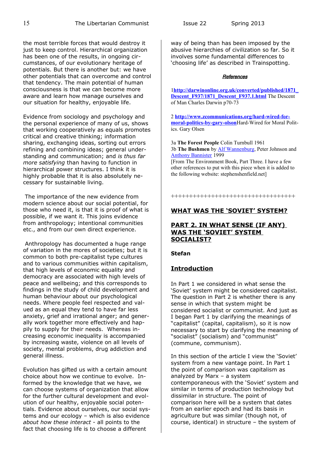the most terrible forces that would destroy it just to keep control. Hierarchical organization has been one of the results, in ongoing circumstances, of our evolutionary heritage of potentials. But there is another but: we have other potentials that can overcome and control that tendency. The main potential of human consciousness is that we can become more aware and learn how manage ourselves and our situation for healthy, enjoyable life.

Evidence from sociology and psychology and the personal experience of many of us, shows that working cooperatively as equals promotes critical and creative thinking; information sharing, exchanging ideas, sorting out errors refining and combining ideas; general understanding and communication; and *is thus far more satisfying* than having to function in hierarchical power structures. I think it is highly probable that it is also absolutely necessary for sustainable living.

The importance of the new evidence from modern science about our social potential, for those who need it, is that it is proof of what is possible, if we want it. This joins evidence from anthropology; intentional communities etc., and from our own direct experience.

Anthropology has documented a huge range of variation in the mores of societies; but it is common to both pre-capitalist type cultures and to various communities within capitalism, that high levels of economic equality and democracy are associated with high levels of peace and wellbeing; and this corresponds to findings in the study of child development and human behaviour about our psychological needs. Where people feel respected and valued as an equal they tend to have far less anxiety, grief and irrational anger; and generally work together more effectively and happily to supply for their needs. Whereas increasing economic inequality is accompanied by increasing waste, violence on all levels of society, mental problems, drug addiction and general illness.

Evolution has gifted us with a certain amount choice about how we continue to evolve. Informed by the knowledge that we have, we can choose systems of organization that allow for the further cultural development and evolution of our healthy, enjoyable social potentials. Evidence about ourselves, our social systems and our ecology – which is also evidence *about how these interact -* all points to the fact that choosing life is to choose a different

way of being than has been imposed by the abusive hierarchies of civilization so far. So it involves some fundamental differences to 'choosing life' as described in Trainspotting.

#### **References**

1**[http://darwinonline.org.uk/converted/published/1871\\_](http://darwinonline.org.uk/converted/published/1871_Descent_F937/1871_Descent_F937.1.html) Descent F937/1871 Descent F937.1.html** The Descent of Man Charles Darwin p70-73

2 **[http://www.zcommunications.org/hard-wired-for](http://www.zcommunications.org/hard-wired-for-moral-politics-by-gary-olson)[moral-politics-by-gary-olson](http://www.zcommunications.org/hard-wired-for-moral-politics-by-gary-olson)**Hard-Wired for Moral Politics. Gary Olsen

3a **The Forest People** Colin Turnbull 1961 3b **The Bushmen** by [Alf Wannenburg,](http://www.amazon.co.uk/Alf-Wannenburgh/e/B001KDTKIY/ref=sr_ntt_srch_lnk_3?qid=1364380722&sr=1-3) Peter Johnson and [Anthony Bannister](http://www.amazon.co.uk/Anthony-Bannister/e/B001HOMX26/ref=sr_ntt_srch_lnk_3?qid=1364380722&sr=1-3) 1999

[From The Environment Book, Part Three. I have a few other references to put with this piece when it is added to the following website: stephenshenfield.net]

++++++++++++++++++++++++++++++++++

# **WHAT WAS THE 'SOVIET' SYSTEM?**

## **PART 2. IN WHAT SENSE (IF ANY) WAS THE 'SOVIET' SYSTEM SOCIALIST?**

**Stefan**

# **Introduction**

In Part 1 we considered in what sense the 'Soviet' system might be considered capitalist. The question in Part 2 is whether there is any sense in which that system might be considered socialist or communist. And just as I began Part 1 by clarifying the meanings of "capitalist" (capital, capitalism), so it is now necessary to start by clarifying the meaning of "socialist" (socialism) and "communist" (commune, communism).

In this section of the article I view the 'Soviet' system from a new vantage point. In Part 1 the point of comparison was capitalism as analyzed by Marx – a system contemporaneous with the 'Soviet' system and similar in terms of production technology but dissimilar in structure. The point of comparison here will be a system that dates from an earlier epoch and had its basis in agriculture but was similar (though not, of course, identical) in structure – the system of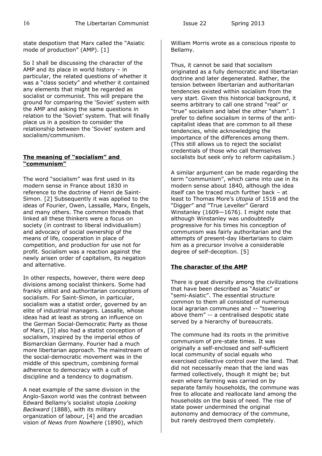state despotism that Marx called the "Asiatic mode of production" (AMP). [1]

So I shall be discussing the character of the AMP and its place in world history – in particular, the related questions of whether it was a "class society" and whether it contained any elements that might be regarded as socialist or communist. This will prepare the ground for comparing the 'Soviet' system with the AMP and asking the same questions in relation to the 'Soviet' system. That will finally place us in a position to consider the relationship between the 'Soviet' system and socialism/communism.

## **The meaning of "socialism" and "communism"**

The word "socialism" was first used in its modern sense in France about 1830 in reference to the doctrine of Henri de Saint-Simon. [2] Subsequently it was applied to the ideas of Fourier, Owen, Lassalle, Marx, Engels, and many others. The common threads that linked all these thinkers were a focus on society (in contrast to liberal individualism) and advocacy of social ownership of the means of life, cooperation in place of competition, and production for use not for profit. Socialism was a reaction against the newly arisen order of capitalism, its negation and alternative.

In other respects, however, there were deep divisions among socialist thinkers. Some had frankly elitist and authoritarian conceptions of socialism. For Saint-Simon, in particular, socialism was a statist order, governed by an elite of industrial managers. Lassalle, whose ideas had at least as strong an influence on the German Social-Democratic Party as those of Marx, [3] also had a statist conception of socialism, inspired by the imperial ethos of Bismarckian Germany. Fourier had a much more libertarian approach. The mainstream of the social-democratic movement was in the middle of this spectrum, combining formal adherence to democracy with a cult of discipline and a tendency to dogmatism.

A neat example of the same division in the Anglo-Saxon world was the contrast between Edward Bellamy's socialist utopia *Looking Backward* (1888), with its military organization of labour, [4] and the arcadian vision of *News from Nowhere* (1890), which

William Morris wrote as a conscious riposte to Bellamy.

Thus, it cannot be said that socialism originated as a fully democratic and libertarian doctrine and later degenerated. Rather, the tension between libertarian and authoritarian tendencies existed within socialism from the very start. Given this historical background, it seems arbitrary to call one strand "real" or "true" socialism and label the other "sham". I prefer to define socialism in terms of the anticapitalist ideas that are common to all these tendencies, while acknowledging the importance of the differences among them. (This still allows us to reject the socialist credentials of those who call themselves socialists but seek only to reform capitalism.)

A similar argument can be made regarding the term "communism", which came into use in its modern sense about 1840, although the idea itself can be traced much further back – at least to Thomas More's *Utopia* of 1518 and the "Digger" and "True Leveller" Gerard Winstanley (1609—1676). I might note that although Winstanley was undoubtedly progressive for his times his conception of communism was fairly authoritarian and the attempts of present-day libertarians to claim him as a precursor involve a considerable degree of self-deception. [5]

## **The character of the AMP**

There is great diversity among the civilizations that have been described as "Asiatic" or "semi-Asiatic". The essential structure common to them all consisted of numerous local agrarian communes and -- "towering above them" -- a centralised despotic state served by a hierarchy of bureaucrats.

The commune had its roots in the primitive communism of pre-state times. It was originally a self-enclosed and self-sufficient local community of social equals who exercised collective control over the land. That did not necessarily mean that the land was farmed collectively, though it might be; but even where farming was carried on by separate family households, the commune was free to allocate and reallocate land among the households on the basis of need. The rise of state power undermined the original autonomy and democracy of the commune, but rarely destroyed them completely.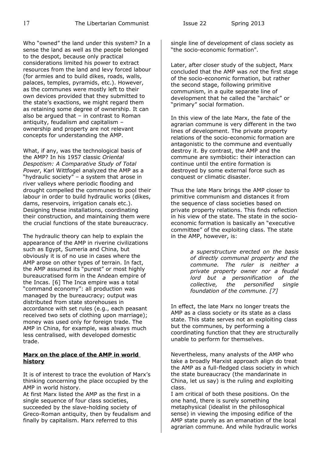Who "owned" the land under this system? In a sense the land as well as the people belonged to the despot, because only practical considerations limited his power to extract resources from the land and levy forced labour (for armies and to build dikes, roads, walls, palaces, temples, pyramids, etc.). However, as the communes were mostly left to their own devices provided that they submitted to the state's exactions, we might regard them as retaining some degree of ownership. It can also be argued that  $-$  in contrast to Roman antiquity, feudalism and capitalism – ownership and property are not relevant concepts for understanding the AMP.

What, if any, was the technological basis of the AMP? In his 1957 classic *Oriental Despotism: A Comparative Study of Total Power*, Karl Wittfogel analyzed the AMP as a "hydraulic society" – a system that arose in river valleys where periodic flooding and drought compelled the communes to pool their labour in order to build hydraulic works (dikes, dams, reservoirs, irrigation canals etc.). Designing these installations, coordinating their construction, and maintaining them were the crucial functions of the state bureaucracy.

The hydraulic theory can help to explain the appearance of the AMP in riverine civilizations such as Egypt, Sumeria and China, but obviously it is of no use in cases where the AMP arose on other types of terrain. In fact, the AMP assumed its "purest" or most highly bureaucratised form in the Andean empire of the Incas. [6] The Inca empire was a total "command economy": all production was managed by the bureaucracy; output was distributed from state storehouses in accordance with set rules (e.g., each peasant received two sets of clothing upon marriage); money was used only for foreign trade. The AMP in China, for example, was always much less centralised, with developed domestic trade.

## **Marx on the place of the AMP in world history**

It is of interest to trace the evolution of Marx's thinking concerning the place occupied by the AMP in world history.

At first Marx listed the AMP as the first in a single sequence of four class societies, succeeded by the slave-holding society of Greco-Roman antiquity, then by feudalism and finally by capitalism. Marx referred to this

single line of development of class society as "the socio-economic formation".

Later, after closer study of the subject, Marx concluded that the AMP was *not* the first stage of the socio-economic formation, but rather the second stage, following primitive communism, in a quite separate line of development that he called the "archaic" or "primary" social formation.

In this view of the late Marx, the fate of the agrarian commune is very different in the two lines of development. The private property relations of the socio-economic formation are antagonistic to the commune and eventually destroy it. By contrast, the AMP and the commune are symbiotic: their interaction can continue until the entire formation is destroyed by some external force such as conquest or climatic disaster.

Thus the late Marx brings the AMP closer to primitive communism and distances it from the sequence of class societies based on private property relations. This finds reflection in his view of the state. The state in the socioeconomic formation is basically an "executive committee" of the exploiting class. The state in the AMP, however, is:

> *a superstructure erected on the basis of directly communal property and the commune. The ruler is neither a private property owner nor a feudal lord but a personification of the collective, the personified single foundation of the commune. [7]*

In effect, the late Marx no longer treats the AMP as a class society or its state as a class state. This state serves not an exploiting class but the communes, by performing a coordinating function that they are structurally unable to perform for themselves.

Nevertheless, many analysts of the AMP who take a broadly Marxist approach align do treat the AMP as a full-fledged class society in which the state bureaucracy (the mandarinate in China, let us say) is the ruling and exploiting class.

I am critical of both these positions. On the one hand, there is surely something metaphysical (idealist in the philosophical sense) in viewing the imposing edifice of the AMP state purely as an emanation of the local agrarian commune. And while hydraulic works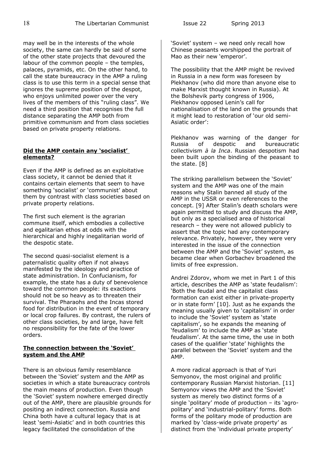may well be in the interests of the whole society, the same can hardly be said of some of the other state projects that devoured the labour of the common people – the temples, palaces, pyramids, etc. On the other hand, to call the state bureaucracy in the AMP a ruling class is to use this term in a special sense that ignores the supreme position of the despot, who enjoys unlimited power over the very lives of the members of this "ruling class". We need a third position that recognises the full distance separating the AMP both from primitive communism and from class societies based on private property relations.

## **Did the AMP contain any 'socialist' elements?**

Even if the AMP is defined as an exploitative class society, it cannot be denied that it contains certain elements that seem to have something 'socialist' or 'communist' about them by contrast with class societies based on private property relations.

The first such element is the agrarian commune itself, which embodies a collective and egalitarian ethos at odds with the hierarchical and highly inegalitarian world of the despotic state.

The second quasi-socialist element is a paternalistic quality often if not always manifested by the ideology and practice of state administration. In Confucianism, for example, the state has a duty of benevolence toward the common people: its exactions should not be so heavy as to threaten their survival. The Pharaohs and the Incas stored food for distribution in the event of temporary or local crop failures. By contrast, the rulers of other class societies, by and large, have felt no responsibility for the fate of the lower orders.

## **The connection between the 'Soviet' system and the AMP**

There is an obvious family resemblance between the 'Soviet' system and the AMP as societies in which a state bureaucracy controls the main means of production. Even though the 'Soviet' system nowhere emerged directly out of the AMP, there are plausible grounds for positing an indirect connection. Russia and China both have a cultural legacy that is at least 'semi-Asiatic' and in both countries this legacy facilitated the consolidation of the

'Soviet' system – we need only recall how Chinese peasants worshipped the portrait of Mao as their new 'emperor'.

The possibility that the AMP might be revived in Russia in a new form was foreseen by Plekhanov (who did more than anyone else to make Marxist thought known in Russia). At the Bolshevik party congress of 1906, Plekhanov opposed Lenin's call for nationalisation of the land on the grounds that it might lead to restoration of 'our old semi-Asiatic order':

Plekhanov was warning of the danger for Russia of despotic and bureaucratic collectivism *à la Inca*. Russian despotism had been built upon the binding of the peasant to the state. [8]

The striking parallelism between the 'Soviet' system and the AMP was one of the main reasons why Stalin banned all study of the AMP in the USSR or even references to the concept. [9] After Stalin's death scholars were again permitted to study and discuss the AMP, but only as a specialised area of historical research – they were not allowed publicly to assert that the topic had any contemporary relevance. Privately, however, they were very interested in the issue of the connection between the AMP and the 'Soviet' system, as became clear when Gorbachev broadened the limits of free expression.

Andrei Zdorov, whom we met in Part 1 of this article, describes the AMP as 'state feudalism': 'Both the feudal and the capitalist class formation can exist either in private-property or in state form' [10]. Just as he expands the meaning usually given to 'capitalism' in order to include the 'Soviet' system as 'state capitalism', so he expands the meaning of 'feudalism' to include the AMP as 'state feudalism'. At the same time, the use in both cases of the qualifier 'state' highlights the parallel between the 'Soviet' system and the AMP.

A more radical approach is that of Yuri Semyonov, the most original and prolific contemporary Russian Marxist historian. [11] Semyonov views the AMP and the 'Soviet' system as merely two distinct forms of a single 'politary' mode of production – its 'agropolitary' and 'industrial-politary' forms. Both forms of the politary mode of production are marked by 'class-wide private property' as distinct from the 'individual private property'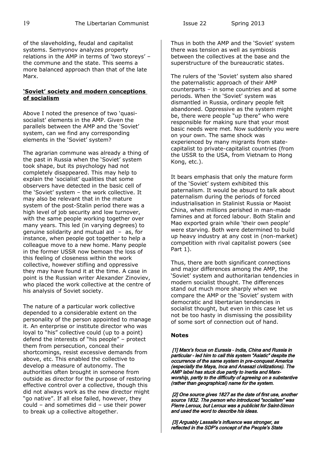of the slaveholding, feudal and capitalist systems. Semyonov analyzes property relations in the AMP in terms of 'two storeys' – the commune and the state. This seems a more balanced approach than that of the late Marx.

#### **'Soviet' society and modern conceptions of socialism**

Above I noted the presence of two 'quasisocialist' elements in the AMP. Given the parallels between the AMP and the 'Soviet' system, can we find any corresponding elements in the 'Soviet' system?

The agrarian commune was already a thing of the past in Russia when the 'Soviet' system took shape, but its psychology had not completely disappeared. This may help to explain the 'socialist' qualities that some observers have detected in the basic cell of the 'Soviet' system – the work collective. It may also be relevant that in the mature system of the post-Stalin period there was a high level of job security and low turnover, with the same people working together over many years. This led (in varying degrees) to genuine solidarity and mutual aid – as, for instance, when people got together to help a colleague move to a new home. Many people in the former USSR now bemoan the loss of this feeling of closeness within the work collective, however stifling and oppressive they may have found it at the time. A case in point is the Russian writer Alexander Zinoviev, who placed the work collective at the centre of his analysis of Soviet society.

The nature of a particular work collective depended to a considerable extent on the personality of the person appointed to manage it. An enterprise or institute director who was loyal to "his" collective could (up to a point) defend the interests of "his people" – protect them from persecution, conceal their shortcomings, resist excessive demands from above, etc. This enabled the collective to develop a measure of autonomy. The authorities often brought in someone from outside as director for the purpose of restoring effective control over a collective, though this did not always work as the new director might "go native". If all else failed, however, they could – and sometimes did – use their power to break up a collective altogether.

Thus in both the AMP and the 'Soviet' system there was tension as well as symbiosis between the collectives at the base and the superstructure of the bureaucratic states.

The rulers of the 'Soviet' system also shared the paternalistic approach of their AMP counterparts – in some countries and at some periods. When the 'Soviet' system was dismantled in Russia, ordinary people felt abandoned. Oppressive as the system might be, there were people "up there" who were responsible for making sure that your most basic needs were met. Now suddenly you were on your own. The same shock was experienced by many migrants from statecapitalist to private-capitalist countries (from the USSR to the USA, from Vietnam to Hong Kong, etc.).

It bears emphasis that only the mature form of the 'Soviet' system exhibited this paternalism. It would be absurd to talk about paternalism during the periods of forced industrialisation in Stalinist Russia or Maoist China, when millions perished in man-made famines and at forced labour. Both Stalin and Mao exported grain while 'their own people' were starving. Both were determined to build up heavy industry at any cost in (non-market) competition with rival capitalist powers (see Part 1).

Thus, there are both significant connections and major differences among the AMP, the 'Soviet' system and authoritarian tendencies in modern socialist thought. The differences stand out much more sharply when we compare the AMP or the 'Soviet' system with democratic and libertarian tendencies in socialist thought, but even in this case let us not be too hasty in dismissing the possibility of some sort of connection out of hand.

## **Notes**

[1] Marx's focus on Eurasia - India, China and Russia in particular – led him to call this system "Asiatic" despite the occurrence of the same system in pre-conquest America (especially the Maya, Inca and Anasazi civilizations). The AMP label has stuck due partly to inertia and Marxworship, partly to the difficulty of agreeing on a substantive (rather than geographical) name for the system.

[2] One source gives 1827 as the date of first use, another source 1832. The person who introduced "socialism" was Pierre Leroux, but Leroux was a publicist for Saint-Simon and used the word to describe his ideas.

 [3] Arguably Lassalle's influence was stronger, as reflected in the SDP's concept of the People's State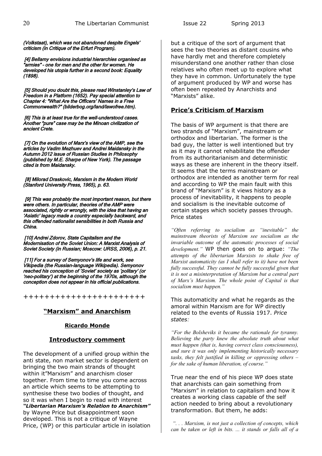(Volkstaat), which was not abandoned despite Engels' criticism (in Critique of the Erfurt Program).

 [4] Bellamy envisions industrial hierarchies organised as "armies" – one for men and the other for women. He developed his utopia further in a second book: Equality (1898).

 [5] Should you doubt this, please read Winstanley's Law of Freedom in a Platform (1652). Pay special attention to Chapter 4: "What Are the Officers' Names in a Free Commonwealth?" (bilderbog.org/land/lawofree.htm).

[6] This is at least true for the well-understood cases. Another "pure" case may be the Minoan civilization of ancient Crete.

[7] On the evolution of Marx's view of the AMP, see the articles by Vadim Mezhuev and Andrei Maidansky in the Autumn 2012 issue of Russian Studies in Philosophy (published by M.E. Sharpe of New York). The passage cited is from Maidansky.

[8] Milorad Draskovic, Marxism in the Modern World (Stanford University Press, 1965), p. 63.

[9] This was probably the most important reason, but there were others. In particular, theories of the AMP were associated, rightly or wrongly, with the idea that having an 'Asiatic' legacy made a country especially backward, and this offended nationalist sensibilities in both Russia and China.

[10] Andrei Zdorov, State Capitalism and the Modernisation of the Soviet Union: A Marxist Analysis of Soviet Society (in Russian; Moscow: URSS, 2006), p. 21.

[11] For a survey of Semyonov's life and work, see Vikipedia (the Russian-language Wikipedia). Semyonov reached his conception of 'Soviet' society as 'politary' (or 'neo-politary') at the beginning of the 1970s, although the conception does not appear in his official publications.

+++++++++++++++++++++++

# **"Marxism" and Anarchism**

## **Ricardo Monde**

## **Introductory comment**

The development of a unified group within the anti state, non market sector is dependent on bringing the two main strands of thought within it"Marxism" and anarchism closer together. From time to time you come across an article which seems to be attempting to synthesise these two bodies of thought, and so it was when I begin to read with interest *"Libertarian Marxism's Relation to Anarchism"* by Wayne Price but disappointment soon developed. This is not a critique of Wayne Price, (WP) or this particular article in isolation but a critique of the sort of argument that sees the two theories as distant cousins who have hardly met and therefore completely misunderstand one another rather than close relatives who often meet up to explore what they have in common. Unfortunately the type of argument produced by WP and worse has often been repeated by Anarchists and "Marxists" alike.

# **Price's Criticism of Marxism**

The basis of WP argument is that there are two strands of "Marxism", mainstream or orthodox and libertarian. The former is the bad guy, the latter is well intentioned but try as it may it cannot rehabilitate the offender from its authoritarianism and deterministic ways as these are inherent in the theory itself. It seems that the terms mainstream or orthodox are intended as another term for real and according to WP the main fault with this brand of "Marxism" is it views history as a process of inevitability, it happens to people and socialism is the inevitable outcome of certain stages which society passes through. Price states

*"Often referring to socialism as "inevitable" the mainstream theorists of Marxism see socialism as the invariable outcome of the automatic processes of social development."* WP then goes on to argue: *"The attempts of the libertarian Marxists to shake free of Marxist automaticity (as I shall refer to it) have not been fully successful. They cannot be fully successful given that it is not a misinterpretation of Marxism but a central part of Marx's Marxism. The whole point of Capital is that socialism must happen."* 

This automaticity and what he regards as the amoral within Marxism are for WP directly related to the events of Russia 1917. *Price states*:

*"For the Bolsheviks it became the rationale for tyranny. Believing the party knew the absolute truth about what must happen (that is, having correct class consciousness), and sure it was only implementing historically necessary tasks, they felt justified in killing or oppressing others – for the sake of human liberation, of course."* 

True near the end of his piece WP does state that anarchists can gain something from "Marxism" in relation to capitalism and how it creates a working class capable of the self action needed to bring about a revolutionary transformation. But them, he adds:

 *". . . Marxism, is not just a collection of concepts, which can be taken or left in bits. ... it stands or falls all of a*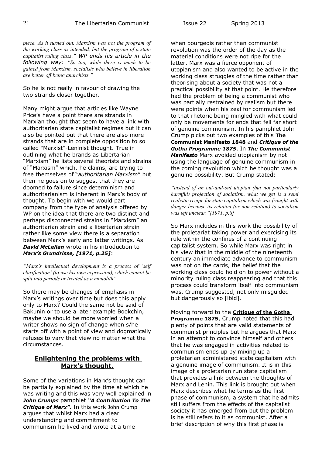*piece. As it turned out, Marxism was not the program of the working class as intended, but the program of a state capitalist ruling class." WP ends his article in the following way: "So too, while there is much to be gained from Marxism, socialists who believe in liberation are better off being anarchists."* 

So he is not really in favour of drawing the two strands closer together.

Many might argue that articles like Wayne Price's have a point there are strands in Marxian thought that seem to have a link with authoritarian state capitalist regimes but it can also be pointed out that there are also more strands that are in complete opposition to so called "Marxist"-Leninist thought. True in outlining what he brands as Libertarian "Marxism" he lists several theorists and strains of "Marxism" which, he claims, are trying to free themselves of "*authoritarian Marxism*" but then he goes on to suggest that they are doomed to failure since determinism and authoritarianism is inherent in Marx's body of thought. To begin with we would part company from the type of analysis offered by WP on the idea that there are two distinct and perhaps disconnected strains in "Marxism" an authoritarian strain and a libertarian strain rather like some view there is a separation between Marx's early and latter writings. As *David McLellan* wrote in his introduction to *Marx's Grundrisse, [1971, p.25]*:

*"Marx's intellectual development is a process of 'self clarification' (to use his own expression), which cannot be split into periods or treated as a monolith".*

So there may be changes of emphasis in Marx's writings over time but does this apply only to Marx? Could the same not be said of Bakunin or to use a later example Bookchin, maybe we should be more worried when a writer shows no sign of change when s/he starts off with a point of view and dogmatically refuses to vary that view no matter what the circumstances.

## **Enlightening the problems with Marx's thought.**

Some of the variations in Marx's thought can be partially explained by the time at which he was writing and this was very well explained in *John Crumps* pamphlet *"A Contribution To The Critique of Marx".* In this work John Crump argues that whilst Marx had a clear understanding and commitment to communism he lived and wrote at a time

when bourgeois rather than communist revolution was the order of the day as the material conditions were not ripe for the latter. Marx was a fierce opponent of utopianism and also wanted to be active in the working class struggles of the time rather than theorising about a society that was not a practical possibility at that point. He therefore had the problem of being a communist who was partially restrained by realism but there were points when his zeal for communism led to that rhetoric being mingled with what could only be movements for ends that fell far short of genuine communism. In his pamphlet John Crump picks out two examples of this **The Communist Manifesto 1848** and *Critique of the Gotha Programme 1875*. In *The Communist Manifesto* Marx avoided utopianism by not using the language of genuine communism in the coming revolution which he thought was a genuine possibility. But Crump stated;

*"instead of an out-and-out utopian (but not particularly harmful) projection of socialism, what we get is a semi realistic recipe for state capitalism which was fraught with danger because its relation (or non relation) to socialism was left unclear."[1971, p.8]* 

So Marx includes in this work the possibility of the proletariat taking power and exercising its rule within the confines of a continuing capitalist system. So while Marx was right in his view that in the middle of the nineteenth century an immediate advance to communism was not on the cards, the belief that the working class could hold on to power without a minority ruling class reappearing and that this process could transform itself into communism was, Crump suggested, not only misguided but dangerously so [ibid].

Moving forward to the **Critique of the Gotha Programme 1875**, Crump noted that this had plenty of points that are valid statements of communist principles but he argues that Marx in an attempt to convince himself and others that he was engaged in activities related to communism ends up by mixing up a proletarian administered state capitalism with a genuine image of communism. It is in this image of a proletarian run state capitalism that provides a link between the thoughts of Marx and Lenin. This link is brought out when Marx describes what he terms as the first phase of communism, a system that he admits still suffers from the effects of the capitalist society it has emerged from but the problem is he still refers to it as communist. After a brief description of why this first phase is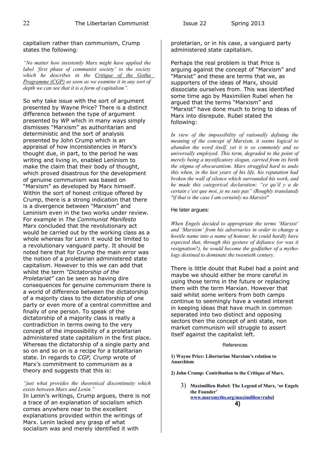capitalism rather than communism, Crump states the following:

*"No matter how insistently Marx might have applied the label 'first phase of communist society' to the society which he describes in the Critique of the Gotha Programme (CGP) as soon as we examine it in any sort of depth we can see that it is a form of capitalism".* 

So why take issue with the sort of argument presented by Wayne Price? There is a distinct difference between the type of argument presented by WP which in many ways simply dismisses "Marxism" as authoritarian and deterministic and the sort of analysis presented by John Crump which is an appraisal of how inconsistencies in Marx's thought due, in part, to the period he was writing and living in, enabled Leninism to make the claim that their body of thought, which proved disastrous for the development of genuine communism was based on "Marxism" as developed by Marx himself. Within the sort of honest critique offered by Crump, there is a strong indication that there is a divergence between "Marxism" and Leninism even in the two works under review. For example in *The Communist Manifesto* Marx concluded that the revolutionary act would be carried out by the working class as a whole whereas for Lenin it would be limited to a revolutionary vanguard party. It should be noted here that for Crump the main error was the notion of a proletarian administered state capitalism. However to this we can add that whilst the term *"Dictatorship of the Proletariat"* can be seen as having dire consequences for genuine communism there is a world of difference between the dictatorship of a majority class to the dictatorship of one party or even more of a central committee and finally of one person. To speak of the dictatorship of a majority class is really a contradiction in terms owing to the very concept of the impossibility of a proletarian administered state capitalism in the first place. Whereas the dictatorship of a single party and so on and so on is a recipe for a totalitarian state. In regards to *CGP, Crump* wrote of Marx's commitment to communism as a theory and suggests that this is:

#### *"just what provides the theoretical discontinuity which exists between Marx and Lenin."*

In Lenin's writings, Crump argues, there is not a trace of an explanation of socialism which comes anywhere near to the excellent explanations provided within the writings of Marx. Lenin lacked any grasp of what socialism was and merely identified it with

proletarian, or in his case, a vanguard party administered state capitalism.

Perhaps the real problem is that Price is arguing against the concept of "Marxism" and "Marxist" and these are terms that we, as supporters of the ideas of Marx, should dissociate ourselves from. This was identified some time ago by Maximilien Rubel when he argued that the terms "Marxism" and "Marxist" have done much to bring to ideas of Marx into disrepute. Rubel stated the following:

*In view of the impossibility of rationally defining the meaning of the concept of Marxism, it seems logical to abandon the word itself, yet it is so commonly and so universally employed. This term, degraded to the point of merely being a mystificatory slogan, carried from its birth the stigma of obscurantism. Marx struggled hard to undo this when, in the last years of his life, his reputation had broken the wall of silence which surrounded his work, and he made this categorical declaration: "ce qu'il y a de certain c'est que moi, je ne suis pas" (Roughly translated) "if that is the case I am certainly no Marxist"*

#### He later argues:

*When Engels decided to appropriate the terms 'Marxist' and 'Marxism' from his adversaries in order to change a hostile name into a name of honour, he could hardly have expected that, through this gesture of defiance (or was it resignation?), he would become the godfather of a mythology destined to dominate the twentieth century.*

There is little doubt that Rubel had a point and maybe we should either be more careful in using those terms in the future or replacing them with the term Marxian. However that said whilst some writers from both camps continue to seemingly have a vested interest in keeping ideas that have much in common separated into two distinct and opposing sectors then the concept of anti state, non market communism will struggle to assert itself against the capitalist left.

#### References

**1) Wayne Price: Libertarian Marxism's relation to Anarchism** 

**2) John Crump: Contribution to the Critique of Marx.** 

3) **Maximillien Rubel: The Legend of Marx, 'or Engels the Founder' [www.marxmyths.org/maximillien+rubel](http://www.marxmyths.org/maximillien+rubel)** 4)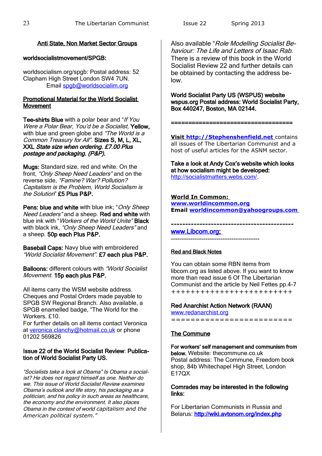# Anti State, Non Market Sector Groups

# worldsocialistmovement/SPGB:

worldsocialism.org/spgb: Postal address: 52 Clapham High Street London SW4 7UN. Email [spgb@worldsocialim.org](mailto:spgb@worldsocialim.org)

## Promotional Material for the World Socialist Movement

Tee-shirts Blue with a polar bear and "If You Were a Polar Bear, You'd be a Socialist, Yellow, with blue and green globe and "The World is a Common Treasury for All". Sizes S, M, L, XL, XXL State size when ordering. £7.00 Plus postage and packaging. (P&P).

Mugs: Standard size, red and white. On the front, "Only Sheep Need Leaders" and on the reverse side, "Famine? War? Pollution? Capitalism is the Problem, World Socialism is the Solution" £5 Plus P&P.

Pens: blue and white with blue ink; "Only Sheep Need Leaders" and a sheep. Red and white with blue ink with "Workers of the World Unite" Black with black ink, "Only Sheep Need Leaders" and a sheep. 50p each Plus P&P.

Baseball Caps: Navy blue with embroidered "World Socialist Movement". £7 each plus P&P.

Balloons: different colours with "World Socialist Movement. 15p each plus P&P.

All items carry the WSM website address. Cheques and Postal Orders made payable to SPGB SW Regional Branch. Also available, a SPGB enamelled badge, "The World for the Workers. £10.

For further details on all items contact Veronica at [veronica.clanchy@hotmail.co.uk](mailto:veronica.clanchy@hotmail.co.uk) or phone 01202 569826

## Issue 22 of the World Socialist Review: Publication of World Socialist Party US.

"Socialists take a look at Obama" Is Obama a socialist? He does not regard himself as one. Neither do we. This issue of World Socialist Review examines Obama's outlook and life story, his packaging as a politician, and his policy in such areas as healthcare, the economy and the environment. It also places Obama in the context of world *capitalism and the American political system."*

Also available "Role Modelling Socialist Behaviour: The Life and Letters of Isaac Rab. There is a review of this book in the World Socialist Review 22 and further details can be obtained by contacting the address below.

World Socialist Party US (WSPUS) website wspus.org Postal address: World Socialist Party, Box 440247, Boston, MA 02144.

 **Visit [http://Stephenshenfield.net](http://stephenshenfield.net/)** contains all issues of The Libertarian Communist and a host of useful articles for the ASNM sector.

===================================

Take a look at Andy Cox's website which looks at how socialism might be developed: [http://socialistmatters.webs.com/.](http://socialistmatters.webs.com/)

# **World In Common:**

**[www.worldincommon.org](http://www.worldincommon.org/) Email [worldincommon@yahoogroups.com](mailto:worldincommon@yahoogroups.com)**

**-------------------------------------------**

www.Libcom.org -----------------------------------------

## Red and Black Notes

You can obtain some RBN items from libcom.org as listed above. If you want to know more than read issue 6 Of The Libertarian Communist and the article by Neil Fettes pp.4-7 +++++++++++++++++++++++++

# Red Anarchist Action Network (RAAN)

[www.redanarchist.org](http://www.redanarchist.org/) =========================

# The Commune

For workers' self management and communism from below. Website: thecommune.co.uk Postal address: The Commune, Freedom book shop, 84b Whitechapel High Street, London E17QX

Comrades may be interested in the following links:

For Libertarian Communists in Russia and Belarus:<http://wiki.avtonom.org/index.php>